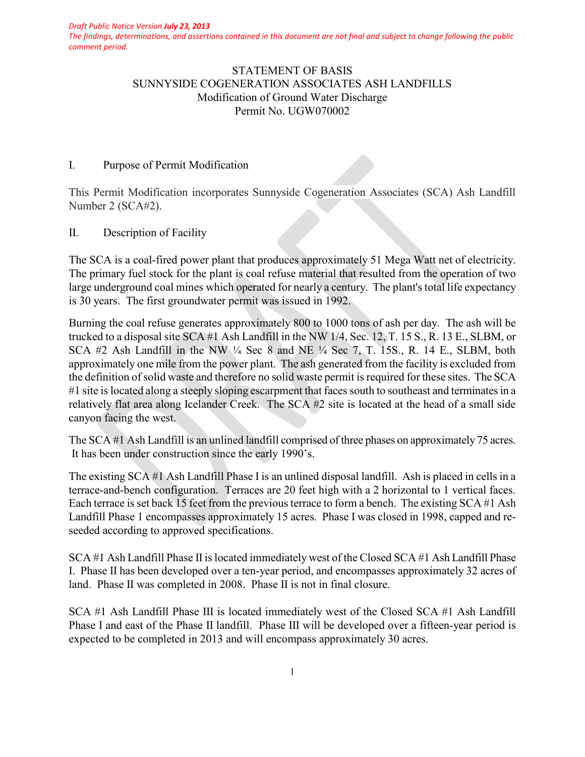*The findings, determinations, and assertions contained in this document are not final and subject to change following the public comment period.*

# STATEMENT OF BASIS SUNNYSIDE COGENERATION ASSOCIATES ASH LANDFILLS Modification of Ground Water Discharge Permit No. UGW070002

#### I. Purpose of Permit Modification

This Permit Modification incorporates Sunnyside Cogeneration Associates (SCA) Ash Landfill Number 2 (SCA#2).

### II. Description of Facility

The SCA is a coal-fired power plant that produces approximately 51 Mega Watt net of electricity. The primary fuel stock for the plant is coal refuse material that resulted from the operation of two large underground coal mines which operated for nearly a century. The plant's total life expectancy is 30 years. The first groundwater permit was issued in 1992.

Burning the coal refuse generates approximately 800 to 1000 tons of ash per day. The ash will be trucked to a disposal site SCA #1 Ash Landfill in the NW 1/4, Sec. 12, T. 15 S., R. 13 E., SLBM, or SCA #2 Ash Landfill in the NW ¼ Sec 8 and NE ¼ Sec 7, T. 15S., R. 14 E., SLBM, both approximately one mile from the power plant. The ash generated from the facility is excluded from the definition of solid waste and therefore no solid waste permit is required for these sites. The SCA #1 site is located along a steeply sloping escarpment that faces south to southeast and terminates in a relatively flat area along Icelander Creek. The SCA #2 site is located at the head of a small side canyon facing the west.

The SCA #1 Ash Landfill is an unlined landfill comprised of three phases on approximately 75 acres. It has been under construction since the early 1990's.

The existing SCA #1 Ash Landfill Phase I is an unlined disposal landfill. Ash is placed in cells in a terrace-and-bench configuration. Terraces are 20 feet high with a 2 horizontal to 1 vertical faces. Each terrace is set back 15 feet from the previous terrace to form a bench. The existing SCA #1 Ash Landfill Phase 1 encompasses approximately 15 acres. Phase I was closed in 1998, capped and reseeded according to approved specifications.

SCA #1 Ash Landfill Phase II is located immediately west of the Closed SCA #1 Ash Landfill Phase I. Phase II has been developed over a ten-year period, and encompasses approximately 32 acres of land. Phase II was completed in 2008. Phase II is not in final closure.

SCA #1 Ash Landfill Phase III is located immediately west of the Closed SCA #1 Ash Landfill Phase I and east of the Phase II landfill. Phase III will be developed over a fifteen-year period is expected to be completed in 2013 and will encompass approximately 30 acres.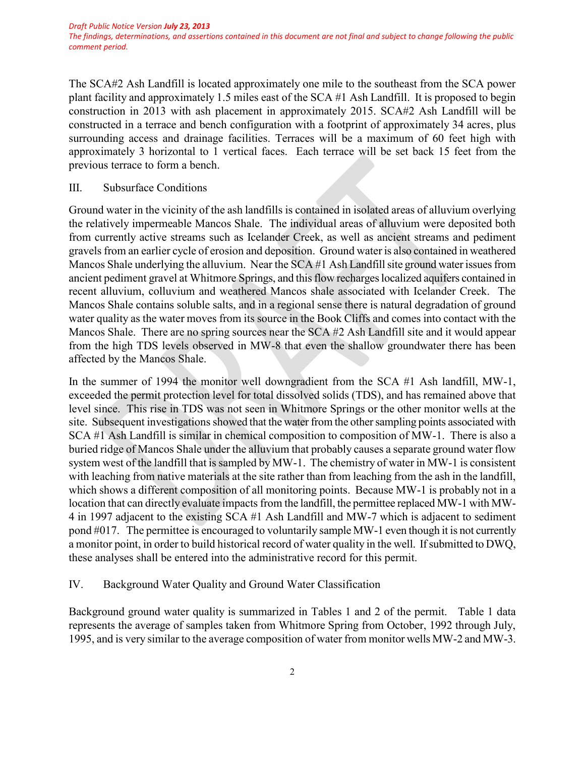*The findings, determinations, and assertions contained in this document are not final and subject to change following the public comment period.*

The SCA#2 Ash Landfill is located approximately one mile to the southeast from the SCA power plant facility and approximately 1.5 miles east of the SCA #1 Ash Landfill. It is proposed to begin construction in 2013 with ash placement in approximately 2015. SCA#2 Ash Landfill will be constructed in a terrace and bench configuration with a footprint of approximately 34 acres, plus surrounding access and drainage facilities. Terraces will be a maximum of 60 feet high with approximately 3 horizontal to 1 vertical faces. Each terrace will be set back 15 feet from the previous terrace to form a bench.

III. Subsurface Conditions

Ground water in the vicinity of the ash landfills is contained in isolated areas of alluvium overlying the relatively impermeable Mancos Shale. The individual areas of alluvium were deposited both from currently active streams such as Icelander Creek, as well as ancient streams and pediment gravels from an earlier cycle of erosion and deposition. Ground water is also contained in weathered Mancos Shale underlying the alluvium. Near the SCA #1 Ash Landfill site ground water issues from ancient pediment gravel at Whitmore Springs, and this flow recharges localized aquifers contained in recent alluvium, colluvium and weathered Mancos shale associated with Icelander Creek. The Mancos Shale contains soluble salts, and in a regional sense there is natural degradation of ground water quality as the water moves from its source in the Book Cliffs and comes into contact with the Mancos Shale. There are no spring sources near the SCA #2 Ash Landfill site and it would appear from the high TDS levels observed in MW-8 that even the shallow groundwater there has been affected by the Mancos Shale.

In the summer of 1994 the monitor well downgradient from the SCA #1 Ash landfill, MW-1, exceeded the permit protection level for total dissolved solids (TDS), and has remained above that level since. This rise in TDS was not seen in Whitmore Springs or the other monitor wells at the site. Subsequent investigations showed that the water from the other sampling points associated with SCA #1 Ash Landfill is similar in chemical composition to composition of MW-1. There is also a buried ridge of Mancos Shale under the alluvium that probably causes a separate ground water flow system west of the landfill that is sampled by MW-1. The chemistry of water in MW-1 is consistent with leaching from native materials at the site rather than from leaching from the ash in the landfill, which shows a different composition of all monitoring points. Because MW-1 is probably not in a location that can directly evaluate impacts from the landfill, the permittee replaced MW-1 with MW-4 in 1997 adjacent to the existing SCA #1 Ash Landfill and MW-7 which is adjacent to sediment pond #017. The permittee is encouraged to voluntarily sample MW-1 even though it is not currently a monitor point, in order to build historical record of water quality in the well. If submitted to DWQ, these analyses shall be entered into the administrative record for this permit.

### IV. Background Water Quality and Ground Water Classification

Background ground water quality is summarized in Tables 1 and 2 of the permit. Table 1 data represents the average of samples taken from Whitmore Spring from October, 1992 through July, 1995, and is very similar to the average composition of water from monitor wells MW-2 and MW-3.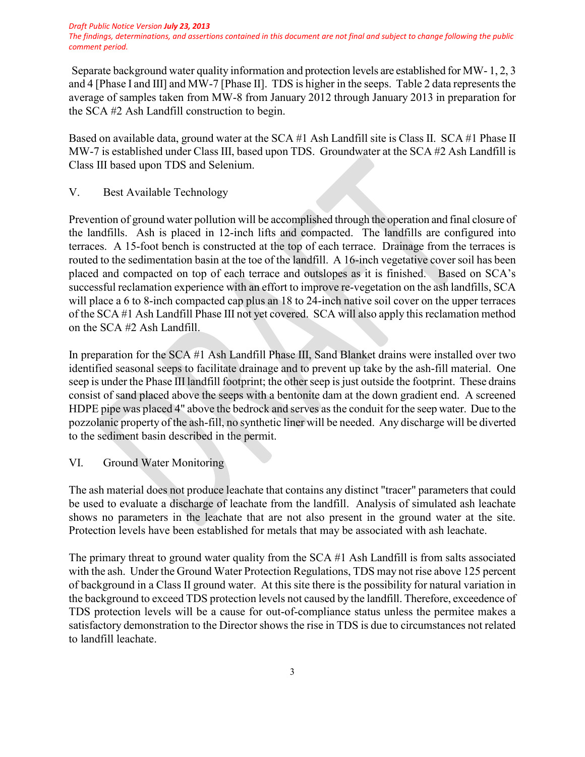#### *Draft Public Notice Version July 23, 2013*

*The findings, determinations, and assertions contained in this document are not final and subject to change following the public comment period.*

Separate background water quality information and protection levels are established for MW- 1, 2, 3 and 4 [Phase I and III] and MW-7 [Phase II]. TDS is higher in the seeps. Table 2 data represents the average of samples taken from MW-8 from January 2012 through January 2013 in preparation for the SCA #2 Ash Landfill construction to begin.

Based on available data, ground water at the SCA #1 Ash Landfill site is Class II. SCA #1 Phase II MW-7 is established under Class III, based upon TDS. Groundwater at the SCA #2 Ash Landfill is Class III based upon TDS and Selenium.

V. Best Available Technology

Prevention of ground water pollution will be accomplished through the operation and final closure of the landfills. Ash is placed in 12-inch lifts and compacted. The landfills are configured into terraces. A 15-foot bench is constructed at the top of each terrace. Drainage from the terraces is routed to the sedimentation basin at the toe of the landfill. A 16-inch vegetative cover soil has been placed and compacted on top of each terrace and outslopes as it is finished. Based on SCA's successful reclamation experience with an effort to improve re-vegetation on the ash landfills, SCA will place a 6 to 8-inch compacted cap plus an 18 to 24-inch native soil cover on the upper terraces of the SCA #1 Ash Landfill Phase III not yet covered. SCA will also apply this reclamation method on the SCA #2 Ash Landfill.

In preparation for the SCA #1 Ash Landfill Phase III, Sand Blanket drains were installed over two identified seasonal seeps to facilitate drainage and to prevent up take by the ash-fill material. One seep is under the Phase III landfill footprint; the other seep is just outside the footprint. These drains consist of sand placed above the seeps with a bentonite dam at the down gradient end. A screened HDPE pipe was placed 4" above the bedrock and serves as the conduit for the seep water. Due to the pozzolanic property of the ash-fill, no synthetic liner will be needed. Any discharge will be diverted to the sediment basin described in the permit.

VI. Ground Water Monitoring

The ash material does not produce leachate that contains any distinct "tracer" parameters that could be used to evaluate a discharge of leachate from the landfill. Analysis of simulated ash leachate shows no parameters in the leachate that are not also present in the ground water at the site. Protection levels have been established for metals that may be associated with ash leachate.

The primary threat to ground water quality from the SCA #1 Ash Landfill is from salts associated with the ash. Under the Ground Water Protection Regulations, TDS may not rise above 125 percent of background in a Class II ground water. At this site there is the possibility for natural variation in the background to exceed TDS protection levels not caused by the landfill. Therefore, exceedence of TDS protection levels will be a cause for out-of-compliance status unless the permitee makes a satisfactory demonstration to the Director shows the rise in TDS is due to circumstances not related to landfill leachate.